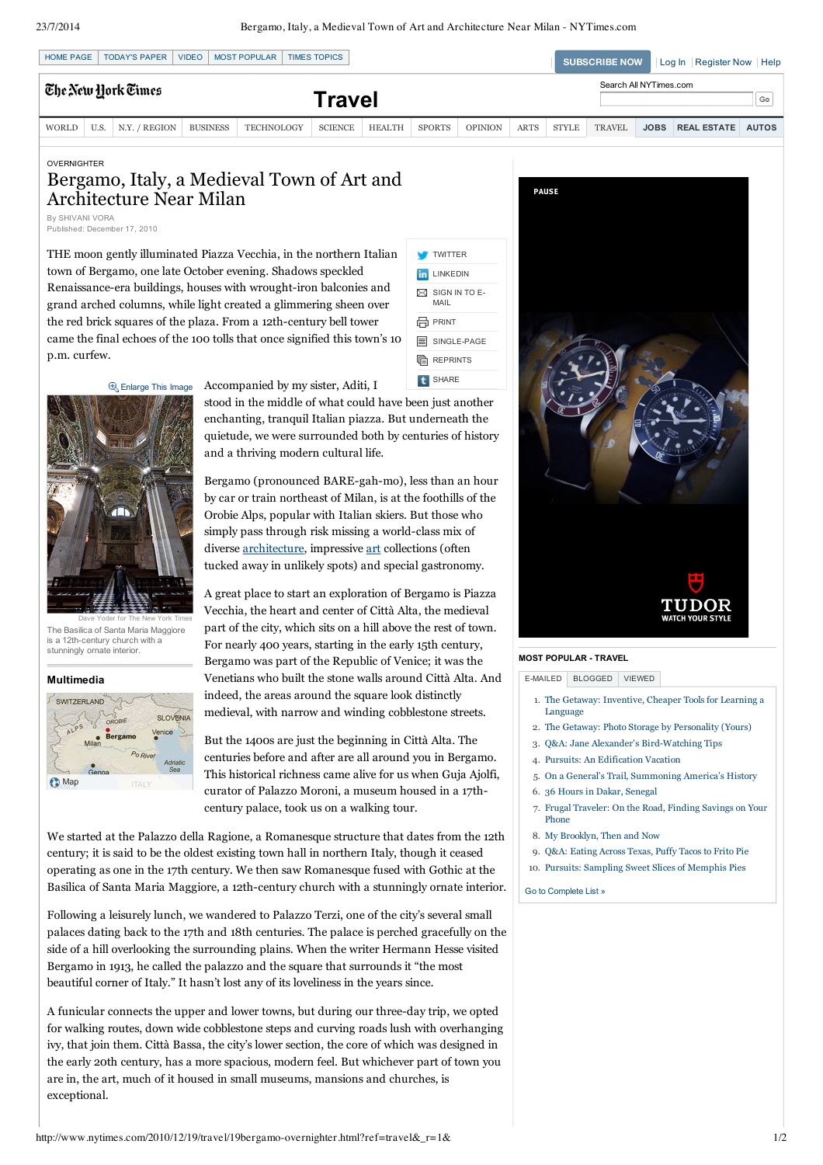| <b>HOME PAGE</b>   |      | <b>TODAY'S PAPER</b> | VIDEO           | MOST POPULAR      | <b>TIMES TOPICS</b> |               |               |                |                              |              | <b>SUBSCRIBE NOW</b> |             | Log In   Register Now   Help |              |
|--------------------|------|----------------------|-----------------|-------------------|---------------------|---------------|---------------|----------------|------------------------------|--------------|----------------------|-------------|------------------------------|--------------|
| Ehe New York Times |      |                      |                 | Travel            |                     |               |               |                | Search All NYTimes.com<br>Go |              |                      |             |                              |              |
| <b>WORLD</b>       | U.S. | N.Y. / REGION        | <b>BUSINESS</b> | <b>TECHNOLOGY</b> | <b>SCIENCE</b>      | <b>HEALTH</b> | <b>SPORTS</b> | <b>OPINION</b> | <b>ARTS</b>                  | <b>STYLE</b> | <b>TRAVEL</b>        | <b>JOBS</b> | <b>REAL ESTATE</b>           | <b>AUTOS</b> |

#### OVERNIGHTER

# Bergamo, Italy, a Medieval Town of Art and Architecture Near Milan By SHIVANI VORA

Published: December 17, 2010

THE moon gently illuminated Piazza Vecchia, in the northern Italian town of Bergamo, one late October evening. Shadows speckled Renaissance-era buildings, houses with wrought-iron balconies and grand arched columns, while light created a glimmering sheen over the red brick squares of the plaza. From a 12th-century bell tower came the final echoes of the 100 tolls that once signified this town's 10 p.m. curfew.



**E**<sub>R</sub> Enlarge This Image Accompanied by my sister, Aditi, I

and a thriving modern cultural life.



Dave Yoder for The New York Times The Basilica of Santa Maria Maggiore is a 12th-century church with a stunningly ornate interior.

#### **Multimedia**



A great place to start an exploration of Bergamo is Piazza Vecchia, the heart and center of Città Alta, the medieval part of the city, which sits on a hill above the rest of town. For nearly 400 years, starting in the early 15th century, Bergamo was part of the Republic of Venice; it was the Venetians who built the stone walls around Città Alta. And indeed, the areas around the square look distinctly medieval, with narrow and winding cobblestone streets.

enchanting, tranquil Italian piazza. But underneath the quietude, we were surrounded both by centuries of history

Bergamo (pronounced BARE-gah-mo), less than an hour by car or train northeast of Milan, is at the foothills of the Orobie Alps, popular with Italian skiers. But those who simply pass through risk missing a world-class mix of diverse architecture, impressive art collections (often tucked away in unlikely spots) and special gastronomy.

But the 1400s are just the beginning in Città Alta. The centuries before and after are all around you in Bergamo. This historical richness came alive for us when Guja Ajolfi, curator of Palazzo Moroni, a museum housed in a 17thcentury palace, took us on a walking tour.

We started at the Palazzo della Ragione, a Romanesque structure that dates from the 12th century; it is said to be the oldest existing town hall in northern Italy, though it ceased operating as one in the 17th century. We then saw Romanesque fused with Gothic at the Basilica of Santa Maria Maggiore, a 12th-century church with a stunningly ornate interior.

Following a leisurely lunch, we wandered to Palazzo Terzi, one of the city's several small palaces dating back to the 17th and 18th centuries. The palace is perched gracefully on the side of a hill overlooking the surrounding plains. When the writer Hermann Hesse visited Bergamo in 1913, he called the palazzo and the square that surrounds it "the most beautiful corner of Italy." It hasn't lost any of its loveliness in the years since.

A funicular connects the upper and lower towns, but during our threeday trip, we opted for walking routes, down wide cobblestone steps and curving roads lush with overhanging ivy, that join them. Città Bassa, the city's lower section, the core of which was designed in the early 20th century, has a more spacious, modern feel. But whichever part of town you are in, the art, much of it housed in small museums, mansions and churches, is exceptional.



## **MOST POPULAR TRAVEL**

EMAILED BLOGGED VIEWED

- 1. The Getaway: Inventive, Cheaper Tools for Learning a Language
- 2. The Getaway: Photo Storage by Personality (Yours)
- 3. Q&A: Jane Alexander's Bird-Watching Tips
- 4. Pursuits: An Edification Vacation
- 5. On a General's Trail, Summoning America's History
- 6. 36 Hours in Dakar, Senegal
- 7. Frugal Traveler: On the Road, Finding Savings on Your Phone
- 8. My Brooklyn, Then and Now
- 9. Q&A: Eating Across Texas, Puffy Tacos to Frito Pie
- 10. Pursuits: Sampling Sweet Slices of Memphis Pies
- Go to Complete List »